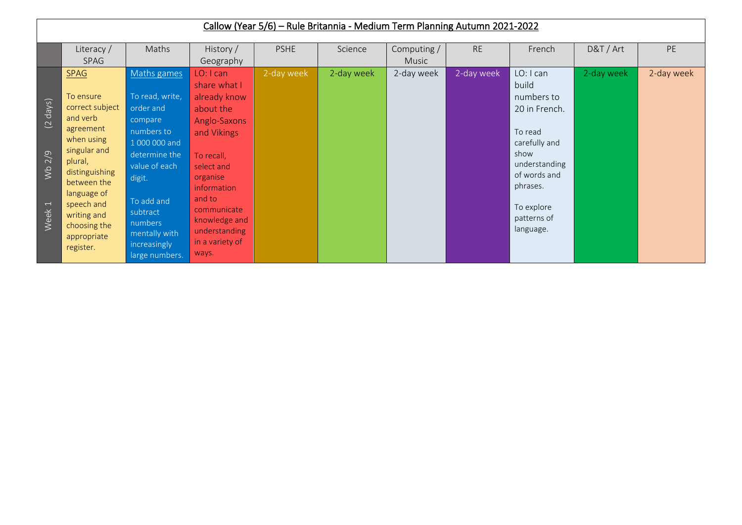|                                                                  | Callow (Year 5/6) - Rule Britannia - Medium Term Planning Autumn 2021-2022                                                                                                                                                             |                                                                                                                                                                                                                           |                                                                                                                                                                                                                                     |             |            |                      |            |                                                                                                                                                                              |            |            |  |  |
|------------------------------------------------------------------|----------------------------------------------------------------------------------------------------------------------------------------------------------------------------------------------------------------------------------------|---------------------------------------------------------------------------------------------------------------------------------------------------------------------------------------------------------------------------|-------------------------------------------------------------------------------------------------------------------------------------------------------------------------------------------------------------------------------------|-------------|------------|----------------------|------------|------------------------------------------------------------------------------------------------------------------------------------------------------------------------------|------------|------------|--|--|
|                                                                  | Literacy /<br>SPAG                                                                                                                                                                                                                     | Maths                                                                                                                                                                                                                     | History /<br>Geography                                                                                                                                                                                                              | <b>PSHE</b> | Science    | Computing /<br>Music | <b>RE</b>  | French                                                                                                                                                                       | D&T / Art  | PE         |  |  |
| $(2 \text{ days})$<br>Wb 2/9<br>$\overline{\phantom{0}}$<br>Week | <b>SPAG</b><br>To ensure<br>correct subject<br>and verb<br>agreement<br>when using<br>singular and<br>plural,<br>distinguishing<br>between the<br>language of<br>speech and<br>writing and<br>choosing the<br>appropriate<br>register. | Maths games<br>To read, write,<br>order and<br>compare<br>numbers to<br>1 000 000 and<br>determine the<br>value of each<br>digit.<br>To add and<br>subtract<br>numbers<br>mentally with<br>increasingly<br>large numbers. | LO: I can<br>share what I<br>already know<br>about the<br>Anglo-Saxons<br>and Vikings<br>To recall,<br>select and<br>organise<br>information<br>and to<br>communicate<br>knowledge and<br>understanding<br>in a variety of<br>ways. | 2-day week  | 2-day week | 2-day week           | 2-day week | LO: I can<br>build<br>numbers to<br>20 in French.<br>To read<br>carefully and<br>show<br>understanding<br>of words and<br>phrases.<br>To explore<br>patterns of<br>language. | 2-day week | 2-day week |  |  |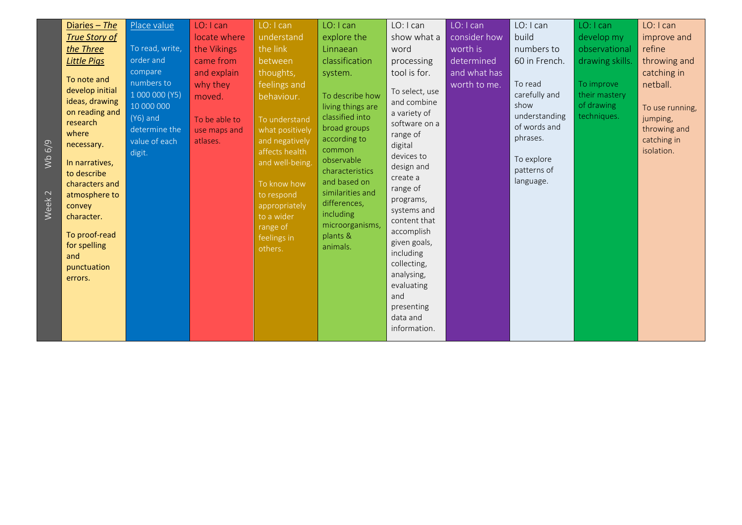| 6/9<br>Wb<br>Week <sub>2</sub> | Diaries - The<br><b>True Story of</b><br>the Three<br><b>Little Pigs</b><br>To note and<br>develop initial<br>ideas, drawing<br>on reading and<br>research<br>where<br>necessary.<br>In narratives,<br>to describe<br>characters and<br>atmosphere to<br>convey<br>character.<br>To proof-read<br>for spelling<br>and<br>punctuation<br>errors. | Place value<br>To read, write,<br>order and<br>compare<br>numbers to<br>1 000 000 (Y5)<br>10 000 000<br>$(Y6)$ and<br>determine the<br>value of each<br>digit. | LO: I can<br>locate where<br>the Vikings<br>came from<br>and explain<br>why they<br>moved.<br>To be able to<br>use maps and<br>atlases. | LO: I can<br>understand<br>the link<br>between<br>thoughts,<br>feelings and<br>behaviour.<br>To understand<br>what positively<br>and negatively<br>affects health<br>and well-being.<br>To know how<br>to respond<br>appropriately<br>to a wider<br>range of<br>feelings in<br>others. | LO: I can<br>explore the<br>Linnaean<br>classification<br>system.<br>To describe how<br>living things are<br>classified into<br>broad groups<br>according to<br>common<br>observable<br>characteristics<br>and based on<br>similarities and<br>differences,<br>including<br>microorganisms,<br>plants &<br>animals. | LO: I can<br>show what a<br>word<br>processing<br>tool is for.<br>To select, use<br>and combine<br>a variety of<br>software on a<br>range of<br>digital<br>devices to<br>design and<br>create a<br>range of<br>programs,<br>systems and<br>content that<br>accomplish<br>given goals,<br>including<br>collecting,<br>analysing,<br>evaluating<br>and | LO: I can<br>consider how<br>worth is<br>determined<br>and what has<br>worth to me. | LO: I can<br>build<br>numbers to<br>60 in French.<br>To read<br>carefully and<br>show<br>understanding<br>of words and<br>phrases.<br>To explore<br>patterns of<br>language. | LO: I can<br>develop my<br>observational<br>drawing skills.<br>To improve<br>their mastery<br>of drawing<br>techniques. | LO: I can<br>improve and<br>refine<br>throwing and<br>catching in<br>netball.<br>To use running,<br>jumping,<br>throwing and<br>catching in<br>isolation. |
|--------------------------------|-------------------------------------------------------------------------------------------------------------------------------------------------------------------------------------------------------------------------------------------------------------------------------------------------------------------------------------------------|----------------------------------------------------------------------------------------------------------------------------------------------------------------|-----------------------------------------------------------------------------------------------------------------------------------------|----------------------------------------------------------------------------------------------------------------------------------------------------------------------------------------------------------------------------------------------------------------------------------------|---------------------------------------------------------------------------------------------------------------------------------------------------------------------------------------------------------------------------------------------------------------------------------------------------------------------|------------------------------------------------------------------------------------------------------------------------------------------------------------------------------------------------------------------------------------------------------------------------------------------------------------------------------------------------------|-------------------------------------------------------------------------------------|------------------------------------------------------------------------------------------------------------------------------------------------------------------------------|-------------------------------------------------------------------------------------------------------------------------|-----------------------------------------------------------------------------------------------------------------------------------------------------------|
|                                |                                                                                                                                                                                                                                                                                                                                                 |                                                                                                                                                                |                                                                                                                                         |                                                                                                                                                                                                                                                                                        |                                                                                                                                                                                                                                                                                                                     | presenting<br>data and<br>information.                                                                                                                                                                                                                                                                                                               |                                                                                     |                                                                                                                                                                              |                                                                                                                         |                                                                                                                                                           |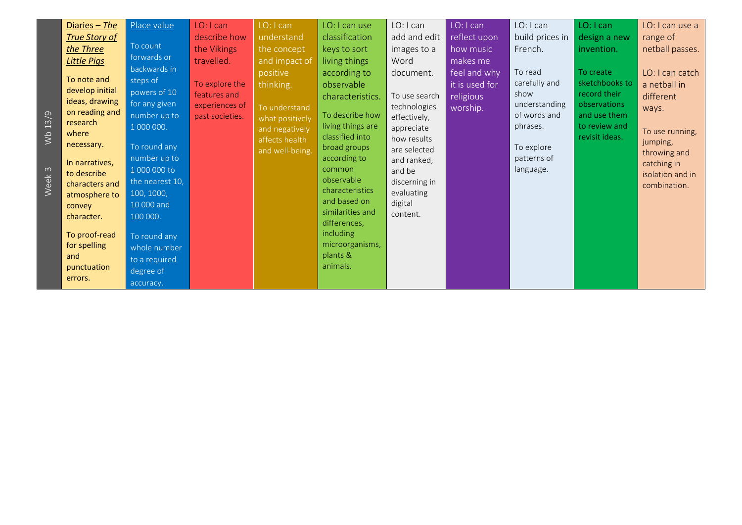| Diaries - The<br><b>True Story of</b><br>the Three<br><b>Little Pigs</b><br>To note and<br>develop initial<br>ideas, drawing<br>on reading and<br>Q<br>$\Xi$<br>research<br>where<br>$\frac{1}{2}$<br>necessary.<br>In narratives,<br>3<br>to describe<br>Week<br>characters and<br>atmosphere to<br>convey<br>character.<br>To proof-read<br>for spelling<br>and<br>punctuation<br>errors. | Place value<br>To count<br>forwards or<br>backwards in<br>steps of<br>powers of 10<br>for any given<br>number up to<br>1 000 000.<br>To round any<br>number up to<br>1 000 000 to<br>the nearest 10,<br>100, 1000,<br>10 000 and<br>100 000.<br>To round any<br>whole number<br>to a required<br>degree of<br>accuracy. | LO: I can<br>describe how<br>the Vikings<br>travelled.<br>To explore the<br>features and<br>experiences of<br>past societies. | LO: I can<br>understand<br>the concept<br>and impact of<br>positive<br>thinking.<br>To understand<br>what positively<br>and negatively<br>affects health<br>and well-being. | LO: I can use<br>classification<br>keys to sort<br>living things<br>according to<br>observable<br>characteristics.<br>To describe how<br>living things are<br>classified into<br>broad groups<br>according to<br>common<br>observable<br>characteristics<br>and based on<br>similarities and<br>differences,<br><i>including</i><br>microorganisms,<br>plants &<br>animals. | LO: I can<br>add and edit<br>images to a<br>Word<br>document.<br>To use search<br>technologies<br>effectively,<br>appreciate<br>how results<br>are selected<br>and ranked,<br>and be<br>discerning in<br>evaluating<br>digital<br>content. | LO: I can<br>reflect upon<br>how music<br>makes me<br>feel and why<br>it is used for<br>religious<br>worship. | LO: I can<br>build prices in<br>French.<br>To read<br>carefully and<br>show<br>understanding<br>of words and<br>phrases.<br>To explore<br>patterns of<br>language. | LO: I can<br>design a new<br>invention.<br>To create<br>sketchbooks to<br>record their<br>observations<br>and use them<br>to review and<br>revisit ideas. | LO: I can use a<br>range of<br>netball passes.<br>LO: I can catch<br>a netball in<br>different<br>ways.<br>To use running,<br>jumping,<br>throwing and<br>catching in<br>isolation and in<br>combination. |
|---------------------------------------------------------------------------------------------------------------------------------------------------------------------------------------------------------------------------------------------------------------------------------------------------------------------------------------------------------------------------------------------|-------------------------------------------------------------------------------------------------------------------------------------------------------------------------------------------------------------------------------------------------------------------------------------------------------------------------|-------------------------------------------------------------------------------------------------------------------------------|-----------------------------------------------------------------------------------------------------------------------------------------------------------------------------|-----------------------------------------------------------------------------------------------------------------------------------------------------------------------------------------------------------------------------------------------------------------------------------------------------------------------------------------------------------------------------|--------------------------------------------------------------------------------------------------------------------------------------------------------------------------------------------------------------------------------------------|---------------------------------------------------------------------------------------------------------------|--------------------------------------------------------------------------------------------------------------------------------------------------------------------|-----------------------------------------------------------------------------------------------------------------------------------------------------------|-----------------------------------------------------------------------------------------------------------------------------------------------------------------------------------------------------------|
|---------------------------------------------------------------------------------------------------------------------------------------------------------------------------------------------------------------------------------------------------------------------------------------------------------------------------------------------------------------------------------------------|-------------------------------------------------------------------------------------------------------------------------------------------------------------------------------------------------------------------------------------------------------------------------------------------------------------------------|-------------------------------------------------------------------------------------------------------------------------------|-----------------------------------------------------------------------------------------------------------------------------------------------------------------------------|-----------------------------------------------------------------------------------------------------------------------------------------------------------------------------------------------------------------------------------------------------------------------------------------------------------------------------------------------------------------------------|--------------------------------------------------------------------------------------------------------------------------------------------------------------------------------------------------------------------------------------------|---------------------------------------------------------------------------------------------------------------|--------------------------------------------------------------------------------------------------------------------------------------------------------------------|-----------------------------------------------------------------------------------------------------------------------------------------------------------|-----------------------------------------------------------------------------------------------------------------------------------------------------------------------------------------------------------|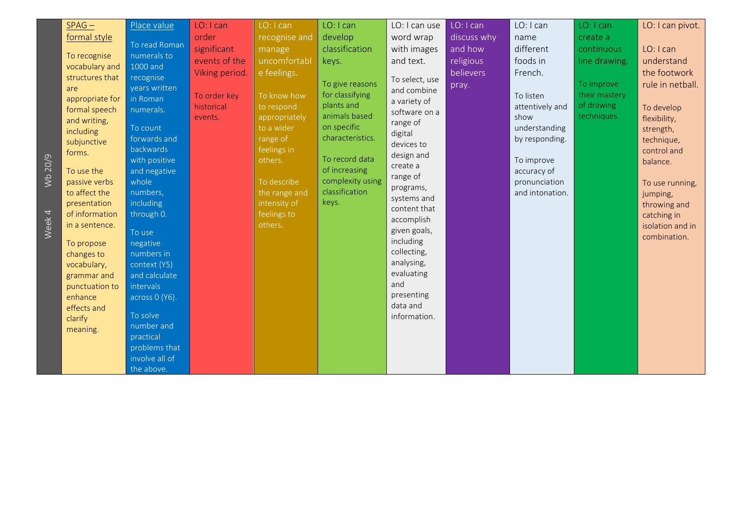| Wb 20/9<br>4<br>Week | $SPAG -$<br>formal style<br>To recognise<br>vocabulary and<br>structures that<br>are<br>appropriate for<br>formal speech<br>and writing,<br>including<br>subjunctive<br>forms.<br>To use the<br>passive verbs<br>to affect the<br>presentation<br>of information<br>in a sentence.<br>To propose<br>changes to<br>vocabulary,<br>grammar and<br>punctuation to<br>enhance<br>effects and<br>clarify<br>meaning. | Place value<br>To read Roman<br>numerals to<br>1000 and<br>recognise<br>years written<br>in Roman<br>numerals.<br>To count<br>forwards and<br>backwards<br>with positive<br>and negative<br>whole<br>numbers,<br>including<br>through 0.<br>To use<br>negative<br>numbers in<br>context (Y5)<br>and calculate<br>intervals<br>across 0 (Y6).<br>To solve<br>number and<br>practical<br>problems that<br>involve all of | LO: I can<br>order<br>significant<br>events of the<br>Viking period.<br>To order key<br>historical<br>events. | LO: I can<br>recognise and<br>manage<br>uncomfortabl<br>e feelings.<br>To know how<br>to respond<br>appropriately<br>to a wider<br>range of<br>feelings in<br>others.<br>To describe<br>the range and<br>intensity of<br>feelings to<br>others. | LO: I can<br>develop<br>classification<br>keys.<br>To give reasons<br>for classifying<br>plants and<br>animals based<br>on specific<br>characteristics.<br>To record data<br>of increasing<br>complexity using<br>classification<br>keys. | LO: I can use<br>word wrap<br>with images<br>and text.<br>To select, use<br>and combine<br>a variety of<br>software on a<br>range of<br>digital<br>devices to<br>design and<br>create a<br>range of<br>programs,<br>systems and<br>content that<br>accomplish<br>given goals,<br>including<br>collecting,<br>analysing,<br>evaluating<br>and<br>presenting<br>data and<br>information. | LO: I can<br>discuss why<br>and how<br>religious<br>believers<br>pray. | LO: I can<br>name<br>different<br>foods in<br>French.<br>To listen<br>attentively and<br>show<br>understanding<br>by responding.<br>To improve<br>accuracy of<br>pronunciation<br>and intonation. | LO: I can<br>create a<br>continuous<br>line drawing.<br>To improve<br>their mastery<br>of drawing<br>techniques. | LO: I can pivot.<br>LO: I can<br>understand<br>the footwork<br>rule in netball.<br>To develop<br>flexibility,<br>strength,<br>technique,<br>control and<br>balance.<br>To use running,<br>jumping,<br>throwing and<br>catching in<br>isolation and in<br>combination. |
|----------------------|-----------------------------------------------------------------------------------------------------------------------------------------------------------------------------------------------------------------------------------------------------------------------------------------------------------------------------------------------------------------------------------------------------------------|------------------------------------------------------------------------------------------------------------------------------------------------------------------------------------------------------------------------------------------------------------------------------------------------------------------------------------------------------------------------------------------------------------------------|---------------------------------------------------------------------------------------------------------------|-------------------------------------------------------------------------------------------------------------------------------------------------------------------------------------------------------------------------------------------------|-------------------------------------------------------------------------------------------------------------------------------------------------------------------------------------------------------------------------------------------|----------------------------------------------------------------------------------------------------------------------------------------------------------------------------------------------------------------------------------------------------------------------------------------------------------------------------------------------------------------------------------------|------------------------------------------------------------------------|---------------------------------------------------------------------------------------------------------------------------------------------------------------------------------------------------|------------------------------------------------------------------------------------------------------------------|-----------------------------------------------------------------------------------------------------------------------------------------------------------------------------------------------------------------------------------------------------------------------|
|                      |                                                                                                                                                                                                                                                                                                                                                                                                                 | the above.                                                                                                                                                                                                                                                                                                                                                                                                             |                                                                                                               |                                                                                                                                                                                                                                                 |                                                                                                                                                                                                                                           |                                                                                                                                                                                                                                                                                                                                                                                        |                                                                        |                                                                                                                                                                                                   |                                                                                                                  |                                                                                                                                                                                                                                                                       |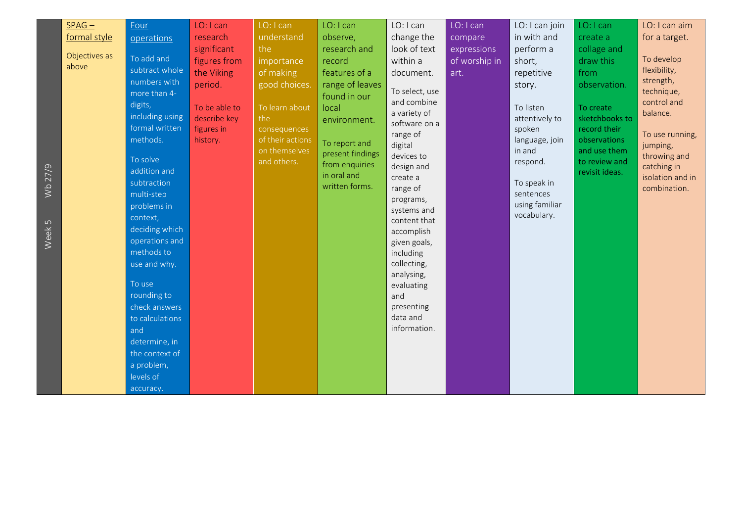|                              | $SPAG -$                               | Four                                                                                                                                                                                                                                                                                                                                                                                                | LO: I can                                                                                                                   | LO: I can                                                                                                                                                  | LO: I can                                                                                                                                                                                               | LO: I can                                                                                                                                                                                                                                                                                                                                                                           | LO: I can                                       | LO: I can join                                                                                                                                                                                           | LO: I can                                                                                                                                                                      | LO: I can aim                                                                                                                                                                                       |
|------------------------------|----------------------------------------|-----------------------------------------------------------------------------------------------------------------------------------------------------------------------------------------------------------------------------------------------------------------------------------------------------------------------------------------------------------------------------------------------------|-----------------------------------------------------------------------------------------------------------------------------|------------------------------------------------------------------------------------------------------------------------------------------------------------|---------------------------------------------------------------------------------------------------------------------------------------------------------------------------------------------------------|-------------------------------------------------------------------------------------------------------------------------------------------------------------------------------------------------------------------------------------------------------------------------------------------------------------------------------------------------------------------------------------|-------------------------------------------------|----------------------------------------------------------------------------------------------------------------------------------------------------------------------------------------------------------|--------------------------------------------------------------------------------------------------------------------------------------------------------------------------------|-----------------------------------------------------------------------------------------------------------------------------------------------------------------------------------------------------|
|                              |                                        |                                                                                                                                                                                                                                                                                                                                                                                                     |                                                                                                                             |                                                                                                                                                            |                                                                                                                                                                                                         |                                                                                                                                                                                                                                                                                                                                                                                     |                                                 |                                                                                                                                                                                                          |                                                                                                                                                                                |                                                                                                                                                                                                     |
| Wb 27/9<br>Week <sub>5</sub> | formal style<br>Objectives as<br>above | operations<br>To add and<br>subtract whole<br>numbers with<br>more than 4-<br>digits,<br>including using<br>formal written<br>methods.<br>To solve<br>addition and<br>subtraction<br>multi-step<br>problems in<br>context,<br>deciding which<br>operations and<br>methods to<br>use and why.<br>To use<br>rounding to<br>check answers<br>to calculations<br>and<br>determine, in<br>the context of | research<br>significant<br>figures from<br>the Viking<br>period.<br>To be able to<br>describe key<br>figures in<br>history. | understand<br>the<br>importance<br>of making<br>good choices.<br>To learn about<br>the<br>consequences<br>of their actions<br>on themselves<br>and others. | observe,<br>research and<br>record<br>features of a<br>range of leaves<br>found in our<br>local<br>environment.<br>To report and<br>present findings<br>from enquiries<br>in oral and<br>written forms. | change the<br>look of text<br>within a<br>document.<br>To select, use<br>and combine<br>a variety of<br>software on a<br>range of<br>digital<br>devices to<br>design and<br>create a<br>range of<br>programs,<br>systems and<br>content that<br>accomplish<br>given goals,<br>including<br>collecting,<br>analysing,<br>evaluating<br>and<br>presenting<br>data and<br>information. | compare<br>expressions<br>of worship in<br>art. | in with and<br>perform a<br>short,<br>repetitive<br>story.<br>To listen<br>attentively to<br>spoken<br>language, join<br>in and<br>respond.<br>To speak in<br>sentences<br>using familiar<br>vocabulary. | create a<br>collage and<br>draw this<br>from<br>observation.<br>To create<br>sketchbooks to<br>record their<br>observations<br>and use them<br>to review and<br>revisit ideas. | for a target.<br>To develop<br>flexibility,<br>strength,<br>technique,<br>control and<br>balance.<br>To use running,<br>jumping,<br>throwing and<br>catching in<br>isolation and in<br>combination. |
|                              |                                        | a problem,                                                                                                                                                                                                                                                                                                                                                                                          |                                                                                                                             |                                                                                                                                                            |                                                                                                                                                                                                         |                                                                                                                                                                                                                                                                                                                                                                                     |                                                 |                                                                                                                                                                                                          |                                                                                                                                                                                |                                                                                                                                                                                                     |
|                              |                                        | levels of                                                                                                                                                                                                                                                                                                                                                                                           |                                                                                                                             |                                                                                                                                                            |                                                                                                                                                                                                         |                                                                                                                                                                                                                                                                                                                                                                                     |                                                 |                                                                                                                                                                                                          |                                                                                                                                                                                |                                                                                                                                                                                                     |
|                              |                                        | accuracy.                                                                                                                                                                                                                                                                                                                                                                                           |                                                                                                                             |                                                                                                                                                            |                                                                                                                                                                                                         |                                                                                                                                                                                                                                                                                                                                                                                     |                                                 |                                                                                                                                                                                                          |                                                                                                                                                                                |                                                                                                                                                                                                     |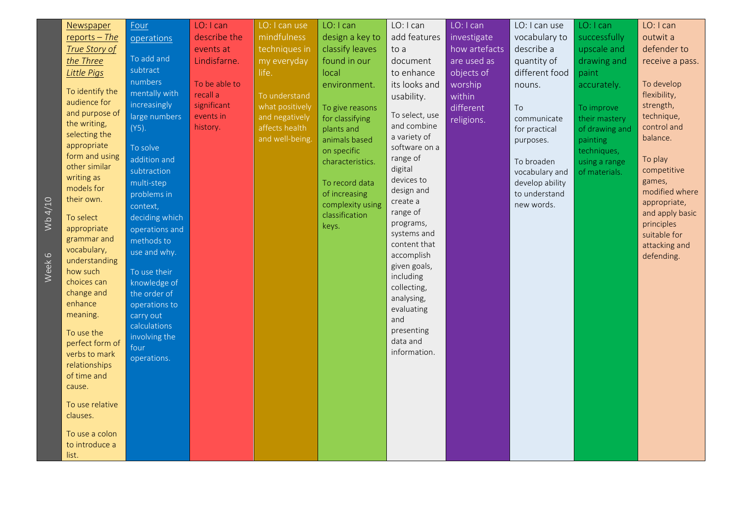|         | Newspaper                      | Four                       | LO: I can     | LO: I can use   | LO: I can                       | LO: I can                     | LO: I can     | LO: I can use                    | LO: I can      | LO: I can              |
|---------|--------------------------------|----------------------------|---------------|-----------------|---------------------------------|-------------------------------|---------------|----------------------------------|----------------|------------------------|
|         | reports $-$ The                | operations                 | describe the  | mindfulness     | design a key to                 | add features                  | investigate   | vocabulary to                    | successfully   | outwit a               |
|         | <b>True Story of</b>           |                            | events at     | techniques in   | classify leaves                 | to a                          | how artefacts | describe a                       | upscale and    | defender to            |
|         | the Three                      | To add and                 | Lindisfarne.  | my everyday     | found in our                    | document                      | are used as   | quantity of                      | drawing and    | receive a pass.        |
|         | <b>Little Pigs</b>             | subtract                   |               | life.           | local                           | to enhance                    | objects of    | different food                   | paint          |                        |
|         |                                | numbers                    | To be able to |                 | environment.                    | its looks and                 | worship       | nouns.                           | accurately.    | To develop             |
|         | To identify the                | mentally with              | recall a      | To understand   |                                 | usability.                    | within        |                                  |                | flexibility,           |
|         | audience for                   | increasingly               | significant   | what positively | To give reasons                 |                               | different     | To                               | To improve     | strength,              |
|         | and purpose of<br>the writing, | large numbers              | events in     | and negatively  | for classifying                 | To select, use                | religions.    | communicate                      | their mastery  | technique,             |
|         | selecting the                  | $(Y5)$ .                   | history.      | affects health  | plants and                      | and combine                   |               | for practical                    | of drawing and | control and            |
|         | appropriate                    | To solve                   |               | and well-being. | animals based                   | a variety of<br>software on a |               | purposes.                        | painting       | balance.               |
|         | form and using                 | addition and               |               |                 | on specific                     | range of                      |               |                                  | techniques,    |                        |
|         | other similar                  | subtraction                |               |                 | characteristics.                | digital                       |               | To broaden                       | using a range  | To play<br>competitive |
|         | writing as                     |                            |               |                 |                                 | devices to                    |               | vocabulary and                   | of materials.  | games,                 |
|         | models for                     | multi-step                 |               |                 | To record data<br>of increasing | design and                    |               | develop ability<br>to understand |                | modified where         |
|         | their own.                     | problems in                |               |                 | complexity using                | create a                      |               | new words.                       |                | appropriate,           |
| Wb 4/10 | To select                      | context,<br>deciding which |               |                 | classification                  | range of                      |               |                                  |                | and apply basic        |
|         | appropriate                    | operations and             |               |                 | keys.                           | programs,                     |               |                                  |                | principles             |
|         | grammar and                    | methods to                 |               |                 |                                 | systems and                   |               |                                  |                | suitable for           |
|         | vocabulary,                    | use and why.               |               |                 |                                 | content that                  |               |                                  |                | attacking and          |
| $\circ$ | understanding                  |                            |               |                 |                                 | accomplish                    |               |                                  |                | defending.             |
| Week    | how such                       | To use their               |               |                 |                                 | given goals,                  |               |                                  |                |                        |
|         | choices can                    | knowledge of               |               |                 |                                 | including<br>collecting,      |               |                                  |                |                        |
|         | change and                     | the order of               |               |                 |                                 | analysing,                    |               |                                  |                |                        |
|         | enhance                        | operations to              |               |                 |                                 | evaluating                    |               |                                  |                |                        |
|         | meaning.                       | carry out                  |               |                 |                                 | and                           |               |                                  |                |                        |
|         | To use the                     | calculations               |               |                 |                                 | presenting                    |               |                                  |                |                        |
|         | perfect form of                | involving the              |               |                 |                                 | data and                      |               |                                  |                |                        |
|         | verbs to mark                  | four                       |               |                 |                                 | information.                  |               |                                  |                |                        |
|         | relationships                  | operations.                |               |                 |                                 |                               |               |                                  |                |                        |
|         | of time and                    |                            |               |                 |                                 |                               |               |                                  |                |                        |
|         | cause.                         |                            |               |                 |                                 |                               |               |                                  |                |                        |
|         | To use relative                |                            |               |                 |                                 |                               |               |                                  |                |                        |
|         | clauses.                       |                            |               |                 |                                 |                               |               |                                  |                |                        |
|         |                                |                            |               |                 |                                 |                               |               |                                  |                |                        |
|         | To use a colon                 |                            |               |                 |                                 |                               |               |                                  |                |                        |
|         | to introduce a                 |                            |               |                 |                                 |                               |               |                                  |                |                        |
|         | list.                          |                            |               |                 |                                 |                               |               |                                  |                |                        |

Wb 4/10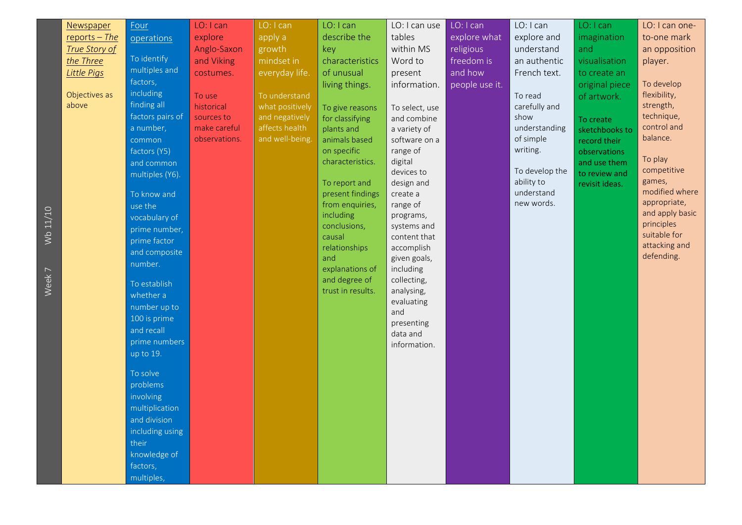| Newspaper            | Four             | LO: I can     | LO: I can       | LO: I can                           | LO: I can use         | LO: I can      | LO: I can                | LO: I can      | LO: I can one-           |
|----------------------|------------------|---------------|-----------------|-------------------------------------|-----------------------|----------------|--------------------------|----------------|--------------------------|
| reports $-$ The      | operations       | explore       | apply a         | describe the                        | tables                | explore what   | explore and              | imagination    | to-one mark              |
| <b>True Story of</b> |                  | Anglo-Saxon   | growth          | key                                 | within MS             | religious      | understand               | and            | an opposition            |
| the Three            | To identify      | and Viking    | mindset in      | characteristics                     | Word to               | freedom is     | an authentic             | visualisation  | player.                  |
| Little Pigs          | multiples and    | costumes.     | everyday life.  | of unusual                          | present               | and how        | French text.             | to create an   |                          |
|                      | factors,         |               |                 | living things.                      | information.          | people use it. |                          | original piece | To develop               |
| Objectives as        | including        | To use        | To understand   |                                     |                       |                | To read                  | of artwork.    | flexibility,             |
| above                | finding all      | historical    | what positively | To give reasons                     | To select, use        |                | carefully and            |                | strength,                |
|                      | factors pairs of | sources to    | and negatively  | for classifying                     | and combine           |                | show                     | To create      | technique,               |
|                      | a number,        | make careful  | affects health  | plants and                          | a variety of          |                | understanding            | sketchbooks to | control and              |
|                      | common           | observations. | and well-being. | animals based                       | software on a         |                | of simple                | record their   | balance.                 |
|                      | factors (Y5)     |               |                 | on specific                         | range of              |                | writing.                 | observations   |                          |
|                      | and common       |               |                 | characteristics.                    | digital               |                |                          | and use them   | To play                  |
|                      | multiples (Y6).  |               |                 |                                     | devices to            |                | To develop the           | to review and  | competitive              |
|                      |                  |               |                 | To report and                       | design and            |                | ability to<br>understand | revisit ideas. | games,<br>modified where |
|                      | To know and      |               |                 | present findings<br>from enquiries, | create a              |                | new words.               |                | appropriate,             |
|                      | use the          |               |                 | including                           | range of<br>programs, |                |                          |                | and apply basic          |
|                      | vocabulary of    |               |                 | conclusions,                        | systems and           |                |                          |                | principles               |
|                      | prime number,    |               |                 | causal                              | content that          |                |                          |                | suitable for             |
|                      | prime factor     |               |                 | relationships                       | accomplish            |                |                          |                | attacking and            |
|                      | and composite    |               |                 | and                                 | given goals,          |                |                          |                | defending.               |
|                      | number.          |               |                 | explanations of                     | including             |                |                          |                |                          |
|                      | To establish     |               |                 | and degree of                       | collecting,           |                |                          |                |                          |
|                      | whether a        |               |                 | trust in results.                   | analysing,            |                |                          |                |                          |
|                      | number up to     |               |                 |                                     | evaluating            |                |                          |                |                          |
|                      | 100 is prime     |               |                 |                                     | and                   |                |                          |                |                          |
|                      | and recall       |               |                 |                                     | presenting            |                |                          |                |                          |
|                      | prime numbers    |               |                 |                                     | data and              |                |                          |                |                          |
|                      | up to 19.        |               |                 |                                     | information.          |                |                          |                |                          |
|                      |                  |               |                 |                                     |                       |                |                          |                |                          |
|                      | To solve         |               |                 |                                     |                       |                |                          |                |                          |
|                      | problems         |               |                 |                                     |                       |                |                          |                |                          |
|                      | involving        |               |                 |                                     |                       |                |                          |                |                          |
|                      | multiplication   |               |                 |                                     |                       |                |                          |                |                          |
|                      | and division     |               |                 |                                     |                       |                |                          |                |                          |
|                      | including using  |               |                 |                                     |                       |                |                          |                |                          |
|                      | their            |               |                 |                                     |                       |                |                          |                |                          |
|                      | knowledge of     |               |                 |                                     |                       |                |                          |                |                          |
|                      | factors,         |               |                 |                                     |                       |                |                          |                |                          |
|                      | multiples,       |               |                 |                                     |                       |                |                          |                |                          |

Wb 11/10 Week 7 Wb 11/10

Week 7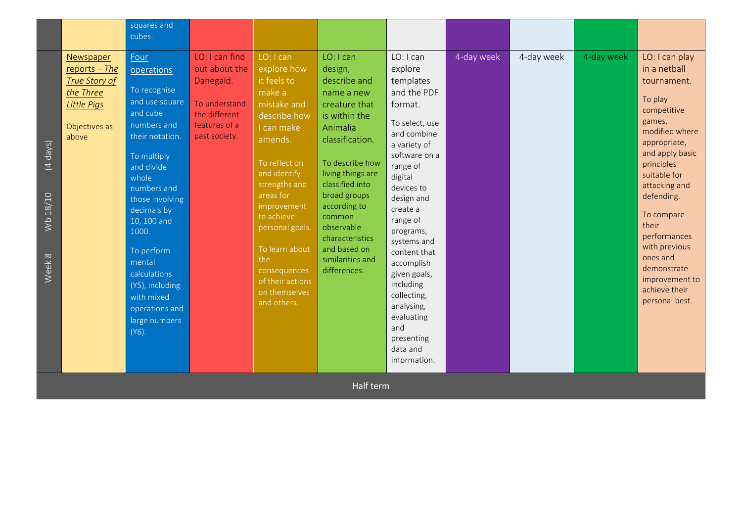|                                                     |                                                                                                            | squares and<br>cubes.                                                                                                                                                                                                                                                                                                                     |                                                                                                                  |                                                                                                                                                                                                                                                                                                                       |                                                                                                                                                                                                                                                                                                               |                                                                                                                                                                                                                                                                                                                                                                                             |            |            |            |                                                                                                                                                                                                                                                                                                                                             |
|-----------------------------------------------------|------------------------------------------------------------------------------------------------------------|-------------------------------------------------------------------------------------------------------------------------------------------------------------------------------------------------------------------------------------------------------------------------------------------------------------------------------------------|------------------------------------------------------------------------------------------------------------------|-----------------------------------------------------------------------------------------------------------------------------------------------------------------------------------------------------------------------------------------------------------------------------------------------------------------------|---------------------------------------------------------------------------------------------------------------------------------------------------------------------------------------------------------------------------------------------------------------------------------------------------------------|---------------------------------------------------------------------------------------------------------------------------------------------------------------------------------------------------------------------------------------------------------------------------------------------------------------------------------------------------------------------------------------------|------------|------------|------------|---------------------------------------------------------------------------------------------------------------------------------------------------------------------------------------------------------------------------------------------------------------------------------------------------------------------------------------------|
| $\overline{(4 \text{ days})}$<br>Wb 18/10<br>Week 8 | Newspaper<br>reports $-$ The<br>True Story of<br>the Three<br><b>Little Pigs</b><br>Objectives as<br>above | Four<br>operations<br>To recognise<br>and use square<br>and cube<br>numbers and<br>their notation.<br>To multiply<br>and divide<br>whole<br>numbers and<br>those involving<br>decimals by<br>10, 100 and<br>1000.<br>To perform<br>mental<br>calculations<br>(Y5), including<br>with mixed<br>operations and<br>large numbers<br>$(Y6)$ . | LO: I can find<br>out about the<br>Danegald.<br>To understand<br>the different<br>features of a<br>past society. | LO: I can<br>explore how<br>it feels to<br>make a<br>mistake and<br>describe how<br>I can make<br>amends.<br>To reflect on<br>and identify<br>strengths and<br>areas for<br>improvement<br>to achieve<br>personal goals.<br>To learn about<br>the<br>consequences<br>of their actions<br>on themselves<br>and others. | LO: I can<br>design,<br>describe and<br>name a new<br>creature that<br>is within the<br>Animalia<br>classification.<br>To describe how<br>living things are<br>classified into<br>broad groups<br>according to<br>common<br>observable<br>characteristics<br>and based on<br>similarities and<br>differences. | LO: I can<br>explore<br>templates<br>and the PDF<br>format.<br>To select, use<br>and combine<br>a variety of<br>software on a<br>range of<br>digital<br>devices to<br>design and<br>create a<br>range of<br>programs,<br>systems and<br>content that<br>accomplish<br>given goals,<br>including<br>collecting,<br>analysing,<br>evaluating<br>and<br>presenting<br>data and<br>information. | 4-day week | 4-day week | 4-day week | LO: I can play<br>in a netball<br>tournament.<br>To play<br>competitive<br>games,<br>modified where<br>appropriate,<br>and apply basic<br>principles<br>suitable for<br>attacking and<br>defending.<br>To compare<br>their<br>performances<br>with previous<br>ones and<br>demonstrate<br>improvement to<br>achieve their<br>personal best. |
|                                                     |                                                                                                            |                                                                                                                                                                                                                                                                                                                                           |                                                                                                                  |                                                                                                                                                                                                                                                                                                                       | Half term                                                                                                                                                                                                                                                                                                     |                                                                                                                                                                                                                                                                                                                                                                                             |            |            |            |                                                                                                                                                                                                                                                                                                                                             |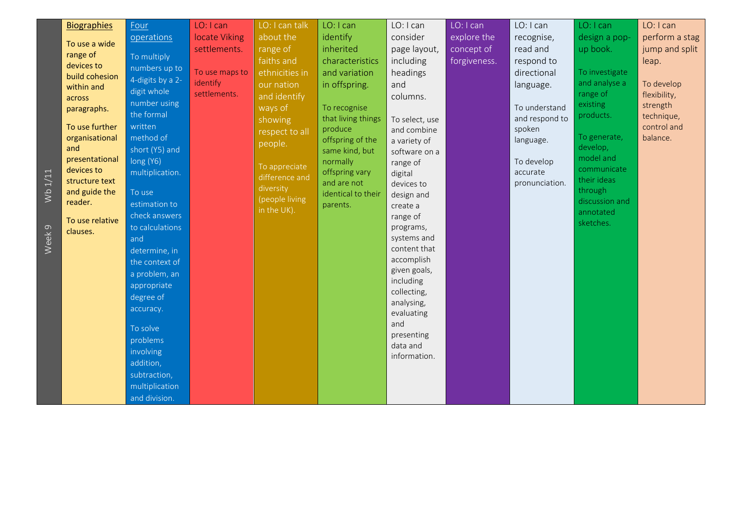|                   | <b>Biographies</b>          | Four             | LO: I can      | LO: I can talk | LO: I can                  | LO: I can                 | LO: I can    | LO: I can                  | LO: I can      | LO: I can      |
|-------------------|-----------------------------|------------------|----------------|----------------|----------------------------|---------------------------|--------------|----------------------------|----------------|----------------|
|                   |                             | operations       | locate Viking  | about the      | identify                   | consider                  | explore the  | recognise,                 | design a pop-  | perform a stag |
|                   | To use a wide<br>range of   |                  | settlements.   | range of       | inherited                  | page layout,              | concept of   | read and                   | up book.       | jump and split |
|                   | devices to                  | To multiply      |                | faiths and     | characteristics            | including                 | forgiveness. | respond to                 |                | leap.          |
|                   | build cohesion              | numbers up to    | To use maps to | ethnicities in | and variation              | headings                  |              | directional                | To investigate |                |
|                   | within and                  | 4-digits by a 2- | identify       | our nation     | in offspring.              | and                       |              | language.                  | and analyse a  | To develop     |
|                   | across                      | digit whole      | settlements.   | and identify   |                            | columns.                  |              |                            | range of       | flexibility,   |
|                   | paragraphs.                 | number using     |                | ways of        | To recognise               |                           |              | To understand              | existing       | strength       |
|                   |                             | the formal       |                | showing        | that living things         | To select, use            |              | and respond to             | products.      | technique,     |
|                   | To use further              | written          |                | respect to all | produce                    | and combine               |              | spoken                     | To generate,   | control and    |
|                   | organisational<br>and       | method of        |                | people.        | offspring of the           | a variety of              |              | language.                  | develop,       | balance.       |
|                   | presentational              | short (Y5) and   |                |                | same kind, but             | software on a             |              |                            | model and      |                |
|                   | devices to                  | long (Y6)        |                | To appreciate  | normally<br>offspring vary | range of                  |              | To develop                 | communicate    |                |
|                   | structure text              | multiplication.  |                | difference and | and are not                | digital<br>devices to     |              | accurate<br>pronunciation. | their ideas    |                |
| Wb 1/11           | and guide the               | To use           |                | diversity      | identical to their         | design and                |              |                            | through        |                |
|                   | reader.                     | estimation to    |                | (people living | parents.                   | create a                  |              |                            | discussion and |                |
|                   |                             | check answers    |                | in the UK).    |                            | range of                  |              |                            | annotated      |                |
|                   | To use relative<br>clauses. | to calculations  |                |                |                            | programs,                 |              |                            | sketches.      |                |
| Week <sub>9</sub> |                             | and              |                |                |                            | systems and               |              |                            |                |                |
|                   |                             | determine, in    |                |                |                            | content that              |              |                            |                |                |
|                   |                             | the context of   |                |                |                            | accomplish                |              |                            |                |                |
|                   |                             | a problem, an    |                |                |                            | given goals,              |              |                            |                |                |
|                   |                             | appropriate      |                |                |                            | including                 |              |                            |                |                |
|                   |                             | degree of        |                |                |                            | collecting,<br>analysing, |              |                            |                |                |
|                   |                             | accuracy.        |                |                |                            | evaluating                |              |                            |                |                |
|                   |                             |                  |                |                |                            | and                       |              |                            |                |                |
|                   |                             | To solve         |                |                |                            | presenting                |              |                            |                |                |
|                   |                             | problems         |                |                |                            | data and                  |              |                            |                |                |
|                   |                             | involving        |                |                |                            | information.              |              |                            |                |                |
|                   |                             | addition,        |                |                |                            |                           |              |                            |                |                |
|                   |                             | subtraction,     |                |                |                            |                           |              |                            |                |                |
|                   |                             | multiplication   |                |                |                            |                           |              |                            |                |                |
|                   |                             | and division.    |                |                |                            |                           |              |                            |                |                |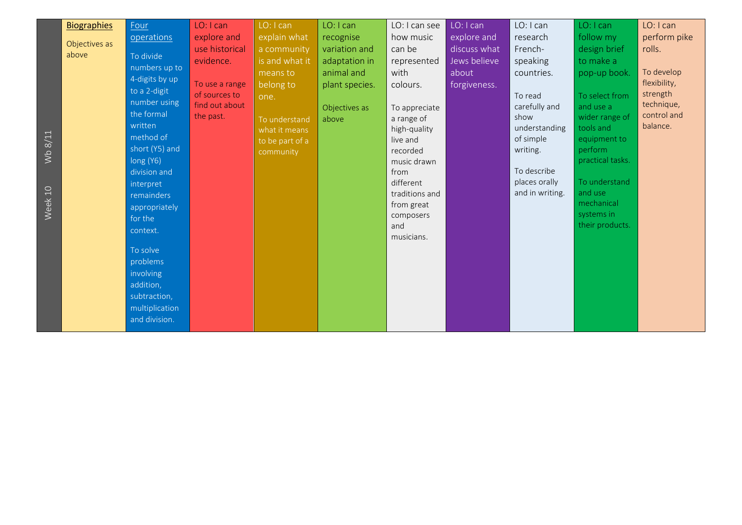|                        | <b>Biographies</b>     | Four                                                                                                                                                                                                                                        | LO: I can                                                      | LO: I can                                                                           | LO: I can                                                 | LO: I can see                                                                                                                                                                         | LO: I can                                            | LO: I can                                                                                                                     | LO: I can                                                                                                                                                                            | LO: I can                                                         |
|------------------------|------------------------|---------------------------------------------------------------------------------------------------------------------------------------------------------------------------------------------------------------------------------------------|----------------------------------------------------------------|-------------------------------------------------------------------------------------|-----------------------------------------------------------|---------------------------------------------------------------------------------------------------------------------------------------------------------------------------------------|------------------------------------------------------|-------------------------------------------------------------------------------------------------------------------------------|--------------------------------------------------------------------------------------------------------------------------------------------------------------------------------------|-------------------------------------------------------------------|
|                        | Objectives as<br>above | operations<br>To divide<br>numbers up to                                                                                                                                                                                                    | explore and<br>use historical<br>evidence.                     | explain what<br>a community<br>is and what it<br>means to                           | recognise<br>variation and<br>adaptation in<br>animal and | how music<br>can be<br>represented<br>with                                                                                                                                            | explore and<br>discuss what<br>Jews believe<br>about | research<br>French-<br>speaking<br>countries.                                                                                 | follow my<br>design brief<br>to make a<br>pop-up book.                                                                                                                               | perform pike<br>rolls.<br>To develop                              |
| Wb $8/11$<br>Week $10$ |                        | 4-digits by up<br>to a 2-digit<br>number using<br>the formal<br>written<br>method of<br>short (Y5) and<br>long (Y6)<br>division and<br>interpret<br>remainders<br>appropriately<br>for the<br>context.<br>To solve<br>problems<br>involving | To use a range<br>of sources to<br>find out about<br>the past. | belong to<br>one.<br>To understand<br>what it means<br>to be part of a<br>community | plant species.<br>Objectives as<br>above                  | colours.<br>To appreciate<br>a range of<br>high-quality<br>live and<br>recorded<br>music drawn<br>from<br>different<br>traditions and<br>from great<br>composers<br>and<br>musicians. | forgiveness.                                         | To read<br>carefully and<br>show<br>understanding<br>of simple<br>writing.<br>To describe<br>places orally<br>and in writing. | To select from<br>and use a<br>wider range of<br>tools and<br>equipment to<br>perform<br>practical tasks.<br>To understand<br>and use<br>mechanical<br>systems in<br>their products. | flexibility,<br>strength<br>technique,<br>control and<br>balance. |
|                        |                        | addition,<br>subtraction,<br>multiplication<br>and division.                                                                                                                                                                                |                                                                |                                                                                     |                                                           |                                                                                                                                                                                       |                                                      |                                                                                                                               |                                                                                                                                                                                      |                                                                   |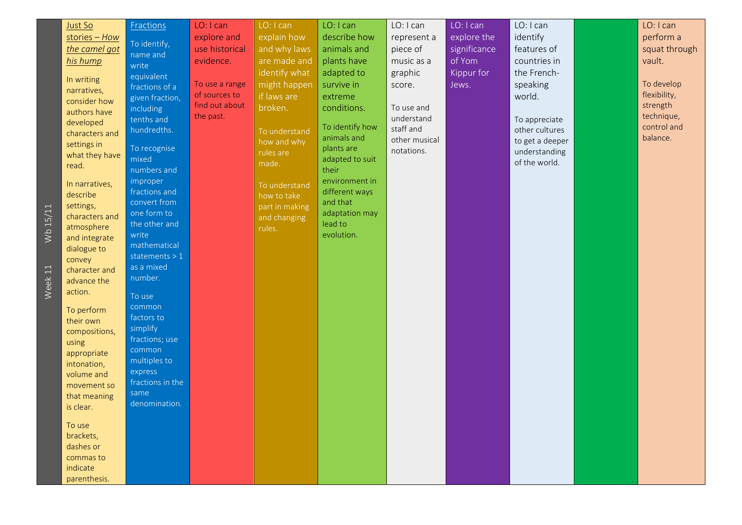| describe how<br>explore the<br>identify<br>explore and<br>explain how<br>stories - How<br>represent a<br>To identify,<br>the camel got<br>use historical<br>and why laws<br>significance<br>features of<br>animals and<br>piece of<br>name and<br>of Yom<br>evidence.<br>are made and<br>plants have<br>vault.<br>music as a<br>countries in<br>his hump<br>write<br>identify what<br>adapted to<br>the French-<br>graphic<br>Kippur for<br>equivalent<br>In writing<br>To develop<br>might happen<br>survive in<br>To use a range<br>speaking<br>Jews.<br>score.<br>fractions of a<br>narratives,<br>flexibility,<br>of sources to<br>if laws are<br>world.<br>extreme<br>given fraction,<br>consider how<br>find out about<br>strength<br>broken.<br>conditions.<br>To use and<br>including<br>authors have<br>technique,<br>the past.<br>understand<br>tenths and<br>To appreciate<br>developed<br>To identify how<br>staff and<br>hundredths.<br>other cultures<br>To understand<br>characters and<br>animals and<br>balance.<br>other musical<br>to get a deeper<br>how and why<br>settings in<br>plants are<br>To recognise<br>notations.<br>understanding<br>rules are<br>what they have<br>mixed<br>adapted to suit<br>of the world.<br>made.<br>read.<br>numbers and<br>their<br>improper<br>environment in<br>In narratives,<br>To understand<br>fractions and<br>different ways<br>describe<br>how to take<br>convert from<br>and that<br>settings,<br>part in making<br>Wb 15/11<br>one form to<br>adaptation may<br>characters and<br>and changing<br>lead to<br>the other and<br>atmosphere<br>rules.<br>evolution.<br>write<br>and integrate<br>mathematical<br>dialogue to<br>statements $> 1$<br>convey<br>as a mixed<br>character and | Just So | <b>Fractions</b> | LO: I can | LO: I can | LO: I can | LO: I can | LO: I can | LO: I can | LO: I can     |
|---------------------------------------------------------------------------------------------------------------------------------------------------------------------------------------------------------------------------------------------------------------------------------------------------------------------------------------------------------------------------------------------------------------------------------------------------------------------------------------------------------------------------------------------------------------------------------------------------------------------------------------------------------------------------------------------------------------------------------------------------------------------------------------------------------------------------------------------------------------------------------------------------------------------------------------------------------------------------------------------------------------------------------------------------------------------------------------------------------------------------------------------------------------------------------------------------------------------------------------------------------------------------------------------------------------------------------------------------------------------------------------------------------------------------------------------------------------------------------------------------------------------------------------------------------------------------------------------------------------------------------------------------------------------------------------------------------------------------------------------------------|---------|------------------|-----------|-----------|-----------|-----------|-----------|-----------|---------------|
|                                                                                                                                                                                                                                                                                                                                                                                                                                                                                                                                                                                                                                                                                                                                                                                                                                                                                                                                                                                                                                                                                                                                                                                                                                                                                                                                                                                                                                                                                                                                                                                                                                                                                                                                                         |         |                  |           |           |           |           |           |           | perform a     |
|                                                                                                                                                                                                                                                                                                                                                                                                                                                                                                                                                                                                                                                                                                                                                                                                                                                                                                                                                                                                                                                                                                                                                                                                                                                                                                                                                                                                                                                                                                                                                                                                                                                                                                                                                         |         |                  |           |           |           |           |           |           | squat through |
|                                                                                                                                                                                                                                                                                                                                                                                                                                                                                                                                                                                                                                                                                                                                                                                                                                                                                                                                                                                                                                                                                                                                                                                                                                                                                                                                                                                                                                                                                                                                                                                                                                                                                                                                                         |         |                  |           |           |           |           |           |           |               |
|                                                                                                                                                                                                                                                                                                                                                                                                                                                                                                                                                                                                                                                                                                                                                                                                                                                                                                                                                                                                                                                                                                                                                                                                                                                                                                                                                                                                                                                                                                                                                                                                                                                                                                                                                         |         |                  |           |           |           |           |           |           |               |
|                                                                                                                                                                                                                                                                                                                                                                                                                                                                                                                                                                                                                                                                                                                                                                                                                                                                                                                                                                                                                                                                                                                                                                                                                                                                                                                                                                                                                                                                                                                                                                                                                                                                                                                                                         |         |                  |           |           |           |           |           |           |               |
|                                                                                                                                                                                                                                                                                                                                                                                                                                                                                                                                                                                                                                                                                                                                                                                                                                                                                                                                                                                                                                                                                                                                                                                                                                                                                                                                                                                                                                                                                                                                                                                                                                                                                                                                                         |         |                  |           |           |           |           |           |           |               |
|                                                                                                                                                                                                                                                                                                                                                                                                                                                                                                                                                                                                                                                                                                                                                                                                                                                                                                                                                                                                                                                                                                                                                                                                                                                                                                                                                                                                                                                                                                                                                                                                                                                                                                                                                         |         |                  |           |           |           |           |           |           |               |
|                                                                                                                                                                                                                                                                                                                                                                                                                                                                                                                                                                                                                                                                                                                                                                                                                                                                                                                                                                                                                                                                                                                                                                                                                                                                                                                                                                                                                                                                                                                                                                                                                                                                                                                                                         |         |                  |           |           |           |           |           |           | control and   |
|                                                                                                                                                                                                                                                                                                                                                                                                                                                                                                                                                                                                                                                                                                                                                                                                                                                                                                                                                                                                                                                                                                                                                                                                                                                                                                                                                                                                                                                                                                                                                                                                                                                                                                                                                         |         |                  |           |           |           |           |           |           |               |
|                                                                                                                                                                                                                                                                                                                                                                                                                                                                                                                                                                                                                                                                                                                                                                                                                                                                                                                                                                                                                                                                                                                                                                                                                                                                                                                                                                                                                                                                                                                                                                                                                                                                                                                                                         |         |                  |           |           |           |           |           |           |               |
|                                                                                                                                                                                                                                                                                                                                                                                                                                                                                                                                                                                                                                                                                                                                                                                                                                                                                                                                                                                                                                                                                                                                                                                                                                                                                                                                                                                                                                                                                                                                                                                                                                                                                                                                                         |         |                  |           |           |           |           |           |           |               |
|                                                                                                                                                                                                                                                                                                                                                                                                                                                                                                                                                                                                                                                                                                                                                                                                                                                                                                                                                                                                                                                                                                                                                                                                                                                                                                                                                                                                                                                                                                                                                                                                                                                                                                                                                         |         |                  |           |           |           |           |           |           |               |
|                                                                                                                                                                                                                                                                                                                                                                                                                                                                                                                                                                                                                                                                                                                                                                                                                                                                                                                                                                                                                                                                                                                                                                                                                                                                                                                                                                                                                                                                                                                                                                                                                                                                                                                                                         |         |                  |           |           |           |           |           |           |               |
|                                                                                                                                                                                                                                                                                                                                                                                                                                                                                                                                                                                                                                                                                                                                                                                                                                                                                                                                                                                                                                                                                                                                                                                                                                                                                                                                                                                                                                                                                                                                                                                                                                                                                                                                                         |         |                  |           |           |           |           |           |           |               |
|                                                                                                                                                                                                                                                                                                                                                                                                                                                                                                                                                                                                                                                                                                                                                                                                                                                                                                                                                                                                                                                                                                                                                                                                                                                                                                                                                                                                                                                                                                                                                                                                                                                                                                                                                         |         |                  |           |           |           |           |           |           |               |
|                                                                                                                                                                                                                                                                                                                                                                                                                                                                                                                                                                                                                                                                                                                                                                                                                                                                                                                                                                                                                                                                                                                                                                                                                                                                                                                                                                                                                                                                                                                                                                                                                                                                                                                                                         |         |                  |           |           |           |           |           |           |               |
|                                                                                                                                                                                                                                                                                                                                                                                                                                                                                                                                                                                                                                                                                                                                                                                                                                                                                                                                                                                                                                                                                                                                                                                                                                                                                                                                                                                                                                                                                                                                                                                                                                                                                                                                                         |         |                  |           |           |           |           |           |           |               |
|                                                                                                                                                                                                                                                                                                                                                                                                                                                                                                                                                                                                                                                                                                                                                                                                                                                                                                                                                                                                                                                                                                                                                                                                                                                                                                                                                                                                                                                                                                                                                                                                                                                                                                                                                         |         |                  |           |           |           |           |           |           |               |
|                                                                                                                                                                                                                                                                                                                                                                                                                                                                                                                                                                                                                                                                                                                                                                                                                                                                                                                                                                                                                                                                                                                                                                                                                                                                                                                                                                                                                                                                                                                                                                                                                                                                                                                                                         |         | number.          |           |           |           |           |           |           |               |
| $\bar{W}$ eek 11<br>advance the<br>action.                                                                                                                                                                                                                                                                                                                                                                                                                                                                                                                                                                                                                                                                                                                                                                                                                                                                                                                                                                                                                                                                                                                                                                                                                                                                                                                                                                                                                                                                                                                                                                                                                                                                                                              |         |                  |           |           |           |           |           |           |               |
| To use                                                                                                                                                                                                                                                                                                                                                                                                                                                                                                                                                                                                                                                                                                                                                                                                                                                                                                                                                                                                                                                                                                                                                                                                                                                                                                                                                                                                                                                                                                                                                                                                                                                                                                                                                  |         |                  |           |           |           |           |           |           |               |
| common<br>To perform<br>factors to                                                                                                                                                                                                                                                                                                                                                                                                                                                                                                                                                                                                                                                                                                                                                                                                                                                                                                                                                                                                                                                                                                                                                                                                                                                                                                                                                                                                                                                                                                                                                                                                                                                                                                                      |         |                  |           |           |           |           |           |           |               |
| their own<br>simplify<br>compositions,                                                                                                                                                                                                                                                                                                                                                                                                                                                                                                                                                                                                                                                                                                                                                                                                                                                                                                                                                                                                                                                                                                                                                                                                                                                                                                                                                                                                                                                                                                                                                                                                                                                                                                                  |         |                  |           |           |           |           |           |           |               |
| fractions; use<br>using                                                                                                                                                                                                                                                                                                                                                                                                                                                                                                                                                                                                                                                                                                                                                                                                                                                                                                                                                                                                                                                                                                                                                                                                                                                                                                                                                                                                                                                                                                                                                                                                                                                                                                                                 |         |                  |           |           |           |           |           |           |               |
| common<br>appropriate                                                                                                                                                                                                                                                                                                                                                                                                                                                                                                                                                                                                                                                                                                                                                                                                                                                                                                                                                                                                                                                                                                                                                                                                                                                                                                                                                                                                                                                                                                                                                                                                                                                                                                                                   |         |                  |           |           |           |           |           |           |               |
| multiples to<br>intonation,<br>express                                                                                                                                                                                                                                                                                                                                                                                                                                                                                                                                                                                                                                                                                                                                                                                                                                                                                                                                                                                                                                                                                                                                                                                                                                                                                                                                                                                                                                                                                                                                                                                                                                                                                                                  |         |                  |           |           |           |           |           |           |               |
| volume and<br>fractions in the                                                                                                                                                                                                                                                                                                                                                                                                                                                                                                                                                                                                                                                                                                                                                                                                                                                                                                                                                                                                                                                                                                                                                                                                                                                                                                                                                                                                                                                                                                                                                                                                                                                                                                                          |         |                  |           |           |           |           |           |           |               |
| movement so<br>same<br>that meaning                                                                                                                                                                                                                                                                                                                                                                                                                                                                                                                                                                                                                                                                                                                                                                                                                                                                                                                                                                                                                                                                                                                                                                                                                                                                                                                                                                                                                                                                                                                                                                                                                                                                                                                     |         |                  |           |           |           |           |           |           |               |
| denomination.<br>is clear.                                                                                                                                                                                                                                                                                                                                                                                                                                                                                                                                                                                                                                                                                                                                                                                                                                                                                                                                                                                                                                                                                                                                                                                                                                                                                                                                                                                                                                                                                                                                                                                                                                                                                                                              |         |                  |           |           |           |           |           |           |               |
| To use                                                                                                                                                                                                                                                                                                                                                                                                                                                                                                                                                                                                                                                                                                                                                                                                                                                                                                                                                                                                                                                                                                                                                                                                                                                                                                                                                                                                                                                                                                                                                                                                                                                                                                                                                  |         |                  |           |           |           |           |           |           |               |
| brackets,                                                                                                                                                                                                                                                                                                                                                                                                                                                                                                                                                                                                                                                                                                                                                                                                                                                                                                                                                                                                                                                                                                                                                                                                                                                                                                                                                                                                                                                                                                                                                                                                                                                                                                                                               |         |                  |           |           |           |           |           |           |               |
| dashes or                                                                                                                                                                                                                                                                                                                                                                                                                                                                                                                                                                                                                                                                                                                                                                                                                                                                                                                                                                                                                                                                                                                                                                                                                                                                                                                                                                                                                                                                                                                                                                                                                                                                                                                                               |         |                  |           |           |           |           |           |           |               |
| commas to                                                                                                                                                                                                                                                                                                                                                                                                                                                                                                                                                                                                                                                                                                                                                                                                                                                                                                                                                                                                                                                                                                                                                                                                                                                                                                                                                                                                                                                                                                                                                                                                                                                                                                                                               |         |                  |           |           |           |           |           |           |               |
| indicate<br>parenthesis.                                                                                                                                                                                                                                                                                                                                                                                                                                                                                                                                                                                                                                                                                                                                                                                                                                                                                                                                                                                                                                                                                                                                                                                                                                                                                                                                                                                                                                                                                                                                                                                                                                                                                                                                |         |                  |           |           |           |           |           |           |               |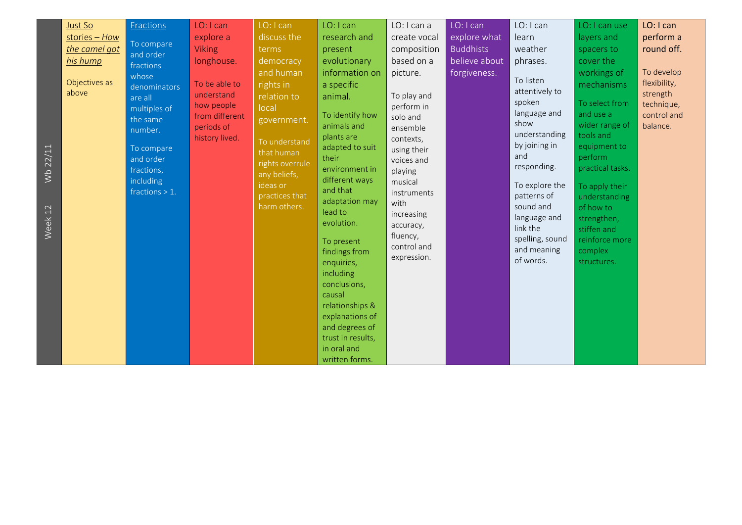| Just So<br>$stories - How$<br>the camel got<br>his hump<br>Objectives as<br>above | Fractions<br>To compare<br>and order<br>fractions<br>whose<br>denominators<br>are all<br>multiples of<br>the same<br>number. | LO: I can<br>explore a<br><b>Viking</b><br>longhouse.<br>To be able to<br>understand<br>how people<br>from different<br>periods of<br>history lived. | LO: I can<br>discuss the<br>terms<br>democracy<br>and human<br>rights in<br>relation to<br>local<br>government.<br>To understand | LO: I can<br>research and<br>present<br>evolutionary<br>information on<br>a specific<br>animal.<br>To identify how<br>animals and<br>plants are                                                                                                                                           | LO: I can a<br>create vocal<br>composition<br>based on a<br>picture.<br>To play and<br>perform in<br>solo and<br>ensemble<br>contexts, | LO: I can<br>explore what<br><b>Buddhists</b><br>believe about<br>forgiveness. | LO: I can<br>learn<br>weather<br>phrases.<br>To listen<br>attentively to<br>spoken<br>language and<br>show<br>understanding          | LO: I can use<br>layers and<br>spacers to<br>cover the<br>workings of<br>mechanisms<br>To select from<br>and use a<br>wider range of<br>tools and | LO: I can<br>perform a<br>round off.<br>To develop<br>flexibility,<br>strength<br>technique,<br>control and<br>balance. |
|-----------------------------------------------------------------------------------|------------------------------------------------------------------------------------------------------------------------------|------------------------------------------------------------------------------------------------------------------------------------------------------|----------------------------------------------------------------------------------------------------------------------------------|-------------------------------------------------------------------------------------------------------------------------------------------------------------------------------------------------------------------------------------------------------------------------------------------|----------------------------------------------------------------------------------------------------------------------------------------|--------------------------------------------------------------------------------|--------------------------------------------------------------------------------------------------------------------------------------|---------------------------------------------------------------------------------------------------------------------------------------------------|-------------------------------------------------------------------------------------------------------------------------|
| 22/11<br>$\frac{1}{2}$<br>$\mathcal{N}$ eek 12                                    | fractions,<br>including<br>fractions $> 1$ .                                                                                 |                                                                                                                                                      | any beliefs,<br>ideas or<br>practices that<br>harm others.                                                                       | environment in<br>different ways<br>and that<br>adaptation may<br>lead to<br>evolution.<br>To present<br>findings from<br>enquiries,<br>including<br>conclusions,<br>causal<br>relationships &<br>explanations of<br>and degrees of<br>trust in results,<br>in oral and<br>written forms. | playing<br>musical<br>instruments<br>with<br>increasing<br>accuracy,<br>fluency,<br>control and<br>expression.                         |                                                                                | responding.<br>To explore the<br>patterns of<br>sound and<br>language and<br>link the<br>spelling, sound<br>and meaning<br>of words. | practical tasks.<br>To apply their<br>understanding<br>of how to<br>strengthen,<br>stiffen and<br>reinforce more<br>complex<br>structures.        |                                                                                                                         |

 $\frac{1}{2}$  $\frac{1}{2}$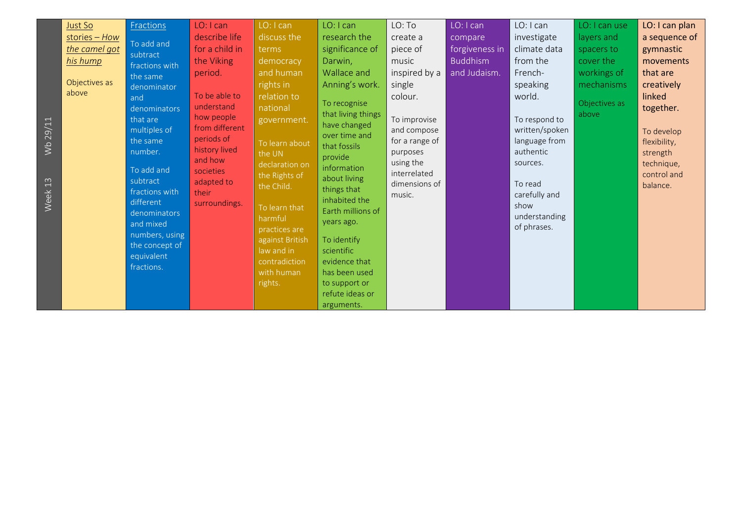| Wb 29/11<br>Week 13 | Just So<br>stories - How<br>the camel got<br>his hump<br>Objectives as<br>above | Fractions<br>To add and<br>subtract<br>fractions with<br>the same<br>denominator<br>and<br>denominators<br>that are<br>multiples of<br>the same<br>number.<br>To add and<br>subtract<br>fractions with<br>different<br>denominators<br>and mixed<br>numbers, using<br>the concept of<br>equivalent<br>fractions. | LO: I can<br>describe life<br>for a child in<br>the Viking<br>period.<br>To be able to<br>understand<br>how people<br>from different<br>periods of<br>history lived<br>and how<br>societies<br>adapted to<br>their<br>surroundings. | LO: I can<br>discuss the<br>terms<br>democracy<br>and human<br>rights in<br>relation to<br>national<br>government.<br>To learn about<br>the UN<br>declaration on<br>the Rights of<br>the Child.<br>To learn that<br>harmful<br>practices are<br>against British<br>law and in<br>contradiction<br>with human<br>rights. | LO: I can<br>research the<br>significance of<br>Darwin,<br>Wallace and<br>Anning's work.<br>To recognise<br>that living things<br>have changed<br>over time and<br>that fossils<br>provide<br>information<br>about living<br>things that<br>inhabited the<br>Earth millions of<br>years ago.<br>To identify<br>scientific<br>evidence that<br>has been used<br>to support or<br>refute ideas or<br>arguments. | LO: To<br>create a<br>piece of<br>music<br>inspired by a<br>single<br>colour.<br>To improvise<br>and compose<br>for a range of<br>purposes<br>using the<br>interrelated<br>dimensions of<br>music. | LO: I can<br>compare<br>forgiveness in<br><b>Buddhism</b><br>and Judaism. | LO: I can<br>investigate<br>climate data<br>from the<br>French-<br>speaking<br>world.<br>To respond to<br>written/spoken<br>language from<br>authentic<br>sources.<br>To read<br>carefully and<br>show<br>understanding<br>of phrases. | LO: I can use<br>layers and<br>spacers to<br>cover the<br>workings of<br>mechanisms<br>Objectives as<br>above | LO: I can plan<br>a sequence of<br>gymnastic<br>movements<br>that are<br>creatively<br>linked<br>together.<br>To develop<br>flexibility,<br>strength<br>technique,<br>control and<br>balance. |
|---------------------|---------------------------------------------------------------------------------|------------------------------------------------------------------------------------------------------------------------------------------------------------------------------------------------------------------------------------------------------------------------------------------------------------------|-------------------------------------------------------------------------------------------------------------------------------------------------------------------------------------------------------------------------------------|-------------------------------------------------------------------------------------------------------------------------------------------------------------------------------------------------------------------------------------------------------------------------------------------------------------------------|---------------------------------------------------------------------------------------------------------------------------------------------------------------------------------------------------------------------------------------------------------------------------------------------------------------------------------------------------------------------------------------------------------------|----------------------------------------------------------------------------------------------------------------------------------------------------------------------------------------------------|---------------------------------------------------------------------------|----------------------------------------------------------------------------------------------------------------------------------------------------------------------------------------------------------------------------------------|---------------------------------------------------------------------------------------------------------------|-----------------------------------------------------------------------------------------------------------------------------------------------------------------------------------------------|
|---------------------|---------------------------------------------------------------------------------|------------------------------------------------------------------------------------------------------------------------------------------------------------------------------------------------------------------------------------------------------------------------------------------------------------------|-------------------------------------------------------------------------------------------------------------------------------------------------------------------------------------------------------------------------------------|-------------------------------------------------------------------------------------------------------------------------------------------------------------------------------------------------------------------------------------------------------------------------------------------------------------------------|---------------------------------------------------------------------------------------------------------------------------------------------------------------------------------------------------------------------------------------------------------------------------------------------------------------------------------------------------------------------------------------------------------------|----------------------------------------------------------------------------------------------------------------------------------------------------------------------------------------------------|---------------------------------------------------------------------------|----------------------------------------------------------------------------------------------------------------------------------------------------------------------------------------------------------------------------------------|---------------------------------------------------------------------------------------------------------------|-----------------------------------------------------------------------------------------------------------------------------------------------------------------------------------------------|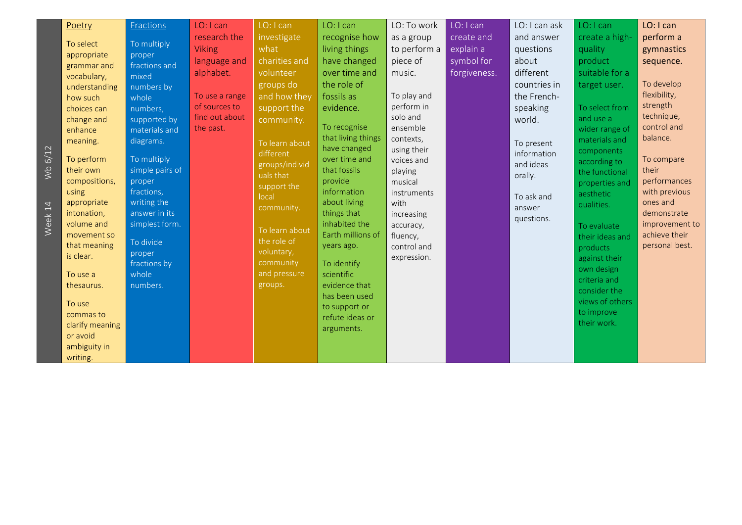| 6/12<br>$\frac{1}{2}$ | Poetry<br>To select<br>appropriate<br>grammar and<br>vocabulary,<br>understanding<br>how such<br>choices can<br>change and<br>enhance<br>meaning.<br>To perform<br>their own<br>compositions,             | Fractions<br>To multiply<br>proper<br>fractions and<br>mixed<br>numbers by<br>whole<br>numbers,<br>supported by<br>materials and<br>diagrams.<br>To multiply<br>simple pairs of<br>proper | LO: I can<br>research the<br><b>Viking</b><br>language and<br>alphabet.<br>To use a range<br>of sources to<br>find out about<br>the past. | LO: I can<br>investigate<br>what<br>charities and<br>volunteer<br>groups do<br>and how they<br>support the<br>community.<br>To learn about<br>different<br>groups/individ<br>uals that<br>support the | LO: I can<br>recognise how<br>living things<br>have changed<br>over time and<br>the role of<br>fossils as<br>evidence.<br>To recognise<br>that living things<br>have changed<br>over time and<br>that fossils<br>provide | LO: To work<br>as a group<br>to perform a<br>piece of<br>music.<br>To play and<br>perform in<br>solo and<br>ensemble<br>contexts,<br>using their<br>voices and<br>playing<br>musical | LO: I can<br>create and<br>explain a<br>symbol for<br>forgiveness. | LO: I can ask<br>and answer<br>questions<br>about<br>different<br>countries in<br>the French-<br>speaking<br>world.<br>To present<br>information<br>and ideas<br>orally. | LO: I can<br>create a high-<br>quality<br>product<br>suitable for a<br>target user.<br>To select from<br>and use a<br>wider range of<br>materials and<br>components<br>according to<br>the functional<br>properties and | LO: I can<br>perform a<br>gymnastics<br>sequence.<br>To develop<br>flexibility,<br>strength<br>technique,<br>control and<br>balance.<br>To compare<br>their<br>performances |
|-----------------------|-----------------------------------------------------------------------------------------------------------------------------------------------------------------------------------------------------------|-------------------------------------------------------------------------------------------------------------------------------------------------------------------------------------------|-------------------------------------------------------------------------------------------------------------------------------------------|-------------------------------------------------------------------------------------------------------------------------------------------------------------------------------------------------------|--------------------------------------------------------------------------------------------------------------------------------------------------------------------------------------------------------------------------|--------------------------------------------------------------------------------------------------------------------------------------------------------------------------------------|--------------------------------------------------------------------|--------------------------------------------------------------------------------------------------------------------------------------------------------------------------|-------------------------------------------------------------------------------------------------------------------------------------------------------------------------------------------------------------------------|-----------------------------------------------------------------------------------------------------------------------------------------------------------------------------|
| Week 14               | using<br>appropriate<br>intonation,<br>volume and<br>movement so<br>that meaning<br>is clear.<br>To use a<br>thesaurus.<br>To use<br>commas to<br>clarify meaning<br>or avoid<br>ambiguity in<br>writing. | fractions,<br>writing the<br>answer in its<br>simplest form.<br>To divide<br>proper<br>fractions by<br>whole<br>numbers.                                                                  |                                                                                                                                           | local<br>community.<br>To learn about<br>the role of<br>voluntary,<br>community<br>and pressure<br>groups.                                                                                            | information<br>about living<br>things that<br>inhabited the<br>Earth millions of<br>years ago.<br>To identify<br>scientific<br>evidence that<br>has been used<br>to support or<br>refute ideas or<br>arguments.          | instruments<br>with<br>increasing<br>accuracy,<br>fluency,<br>control and<br>expression.                                                                                             |                                                                    | To ask and<br>answer<br>questions.                                                                                                                                       | aesthetic<br>qualities.<br>To evaluate<br>their ideas and<br>products<br>against their<br>own design<br>criteria and<br>consider the<br>views of others<br>to improve<br>their work.                                    | with previous<br>ones and<br>demonstrate<br>improvement to<br>achieve their<br>personal best.                                                                               |